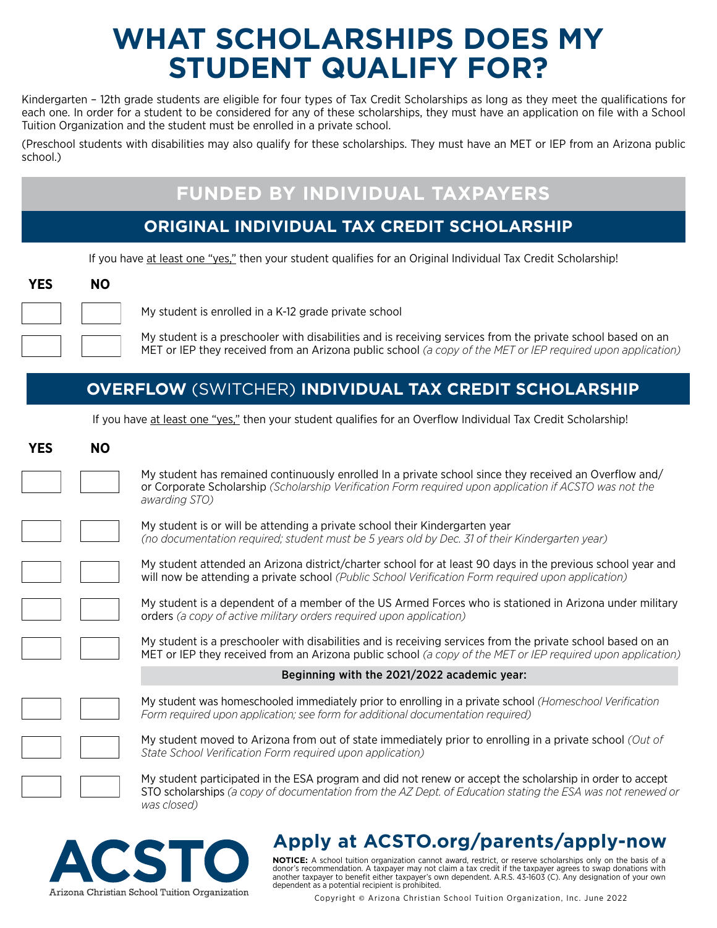# **WHAT SCHOLARSHIPS DOES MY STUDENT QUALIFY FOR?**

Kindergarten – 12th grade students are eligible for four types of Tax Credit Scholarships as long as they meet the qualifications for each one. In order for a student to be considered for any of these scholarships, they must have an application on file with a School Tuition Organization and the student must be enrolled in a private school.

(Preschool students with disabilities may also qualify for these scholarships. They must have an MET or IEP from an Arizona public school.)

## **FUNDED BY INDIVIDUAL TAXPAYERS**

### **ORIGINAL INDIVIDUAL TAX CREDIT SCHOLARSHIP**

If you have at least one "yes," then your student qualifies for an Original Individual Tax Credit Scholarship!



My student is enrolled in a K-12 grade private school

My student is a preschooler with disabilities and is receiving services from the private school based on an MET or IEP they received from an Arizona public school *(a copy of the MET or IEP required upon application)*

### **OVERFLOW** (SWITCHER) **INDIVIDUAL TAX CREDIT SCHOLARSHIP**

If you have at least one "yes," then your student qualifies for an Overflow Individual Tax Credit Scholarship!

| <b>YES</b> | <b>NO</b> |                                                                                                                                                                                                                                         |
|------------|-----------|-----------------------------------------------------------------------------------------------------------------------------------------------------------------------------------------------------------------------------------------|
|            |           | My student has remained continuously enrolled In a private school since they received an Overflow and/<br>or Corporate Scholarship (Scholarship Verification Form required upon application if ACSTO was not the<br>awarding STO)       |
|            |           | My student is or will be attending a private school their Kindergarten year<br>(no documentation required; student must be 5 years old by Dec. 31 of their Kindergarten year)                                                           |
|            |           | My student attended an Arizona district/charter school for at least 90 days in the previous school year and<br>will now be attending a private school (Public School Verification Form required upon application)                       |
|            |           | My student is a dependent of a member of the US Armed Forces who is stationed in Arizona under military<br>orders (a copy of active military orders required upon application)                                                          |
|            |           | My student is a preschooler with disabilities and is receiving services from the private school based on an<br>MET or IEP they received from an Arizona public school (a copy of the MET or IEP required upon application)              |
|            |           | Beginning with the 2021/2022 academic year:                                                                                                                                                                                             |
|            |           | My student was homeschooled immediately prior to enrolling in a private school (Homeschool Verification<br>Form required upon application; see form for additional documentation required)                                              |
|            |           | My student moved to Arizona from out of state immediately prior to enrolling in a private school (Out of<br>State School Verification Form required upon application)                                                                   |
|            |           | My student participated in the ESA program and did not renew or accept the scholarship in order to accept<br>STO scholarships (a copy of documentation from the AZ Dept. of Education stating the ESA was not renewed or<br>was closed) |



# **Apply at ACSTO.org/parents/apply-now**

**NOTICE:** A school tuition organization cannot award, restrict, or reserve scholarships only on the basis of a donor's recommendation. A taxpayer may not claim a tax credit if the taxpayer agrees to swap donations with another taxpayer to benefit either taxpayer's own dependent. A.R.S. 43-1603 (C). Any designation of your own dependent as a potential recipient is prohibited.

Copyright © Arizona Christian School Tuition Organization, Inc. June 2022